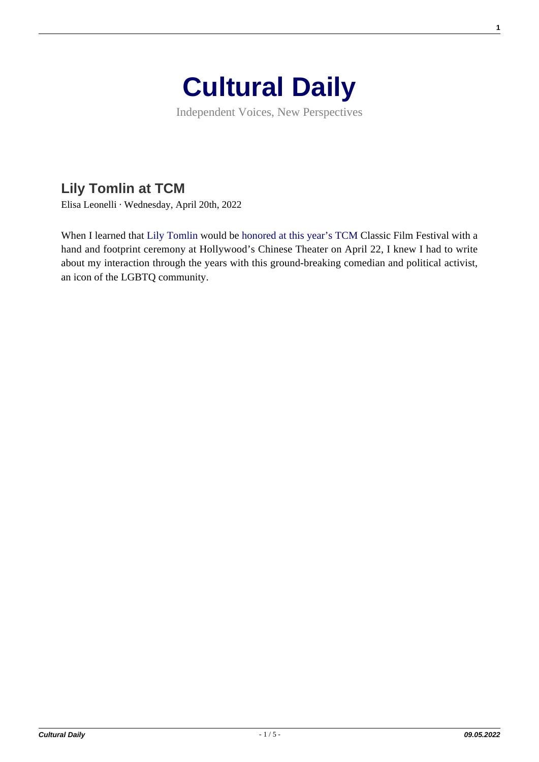

Independent Voices, New Perspectives

## **[Lily Tomlin at TCM](https://culturaldaily.com/lily-tomlin-at-tcm/)**

Elisa Leonelli · Wednesday, April 20th, 2022

When I learned that [Lily Tomlin](https://en.wikipedia.org/wiki/Lily_Tomlin) would be [honored at this year's TCM](https://filmfestival.tcm.com/programs/special-guests/lily-tomlin/) Classic Film Festival with a hand and footprint ceremony at Hollywood's Chinese Theater on April 22, I knew I had to write about my interaction through the years with this ground-breaking comedian and political activist, an icon of the LGBTQ community.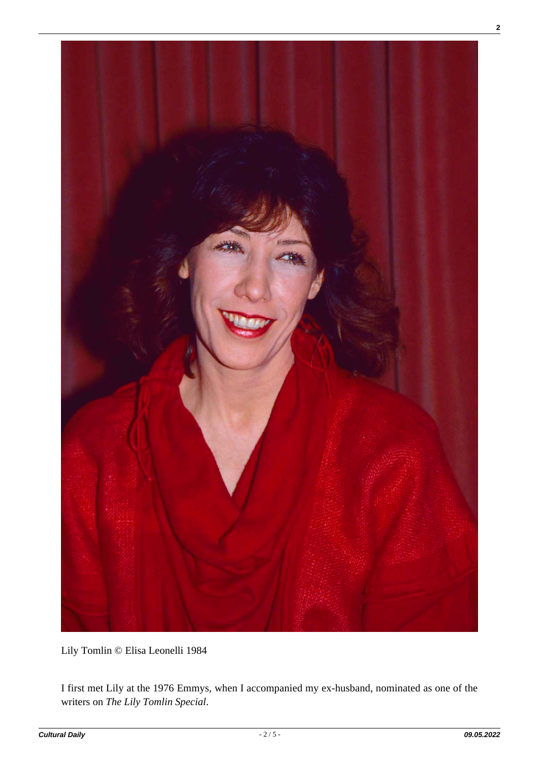

Lily Tomlin © Elisa Leonelli 1984

I first met Lily at the 1976 Emmys, when I accompanied my ex-husband, nominated as one of the writers on *The Lily Tomlin Special*.

**2**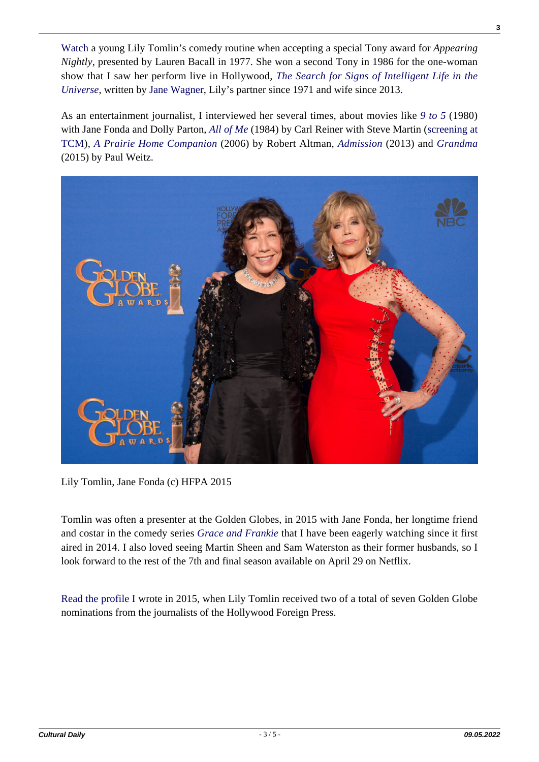[Watch](https://www.youtube.com/watch?v=abam-rBM9jo) a young Lily Tomlin's comedy routine when accepting a special Tony award for *Appearing Nightly*, presented by Lauren Bacall in 1977. She won a second Tony in 1986 for the one-woman show that I saw her perform live in Hollywood, *[The Search for Signs of Intelligent Life in the](https://en.wikipedia.org/wiki/The_Search_for_Signs_of_Intelligent_Life_in_the_Universe) [Universe](https://en.wikipedia.org/wiki/The_Search_for_Signs_of_Intelligent_Life_in_the_Universe)*, written by [Jane Wagner](https://en.wikipedia.org/wiki/Jane_Wagner), Lily's partner since 1971 and wife since 2013.

As an entertainment journalist, I interviewed her several times, about movies like *[9 to 5](https://en.wikipedia.org/wiki/9_to_5_(film))* (1980) with Jane Fonda and Dolly Parton, *[All of Me](https://en.wikipedia.org/wiki/All_of_Me_(1984_film))* (1984) by Carl Reiner with Steve Martin [\(screening at](https://filmfestival.tcm.com/programs/films/all-of-me/) [TCM\)](https://filmfestival.tcm.com/programs/films/all-of-me/), *[A Prairie Home Companion](https://en.wikipedia.org/wiki/A_Prairie_Home_Companion_(film))* (2006) by Robert Altman, *[Admission](https://en.wikipedia.org/wiki/Admission_(film))* (2013) and *[Grandma](https://en.wikipedia.org/wiki/Grandma_(film))* (2015) by Paul Weitz.



Lily Tomlin, Jane Fonda (c) HFPA 2015

Tomlin was often a presenter at the Golden Globes, in 2015 with Jane Fonda, her longtime friend and costar in the comedy series *[Grace and Frankie](https://en.wikipedia.org/wiki/Grace_and_Frankie)* that I have been eagerly watching since it first aired in 2014. I also loved seeing Martin Sheen and Sam Waterston as their former husbands, so I look forward to the rest of the 7th and final season available on April 29 on Netflix.

[Read the profile](https://www.goldenglobes.com/articles/lily-tomlin) I wrote in 2015, when Lily Tomlin received two of a total of seven Golden Globe nominations from the journalists of the Hollywood Foreign Press.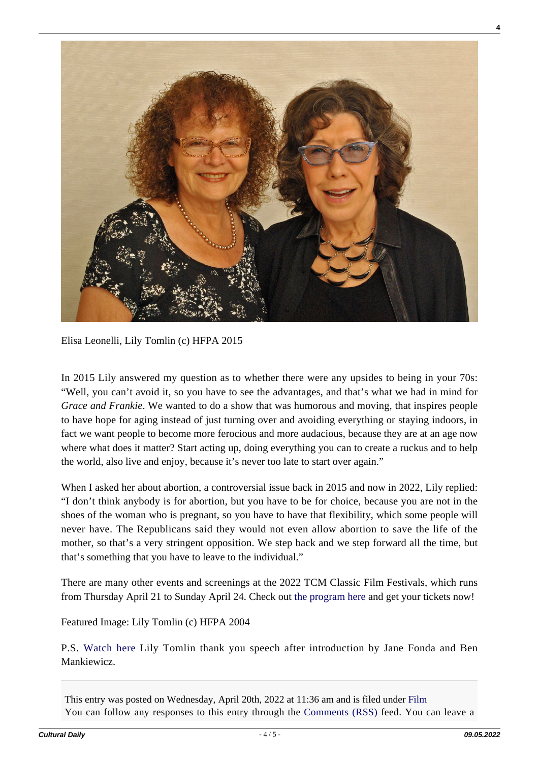

Elisa Leonelli, Lily Tomlin (c) HFPA 2015

In 2015 Lily answered my question as to whether there were any upsides to being in your 70s: "Well, you can't avoid it, so you have to see the advantages, and that's what we had in mind for *Grace and Frankie*. We wanted to do a show that was humorous and moving, that inspires people to have hope for aging instead of just turning over and avoiding everything or staying indoors, in fact we want people to become more ferocious and more audacious, because they are at an age now where what does it matter? Start acting up, doing everything you can to create a ruckus and to help the world, also live and enjoy, because it's never too late to start over again."

When I asked her about abortion, a controversial issue back in 2015 and now in 2022, Lily replied: "I don't think anybody is for abortion, but you have to be for choice, because you are not in the shoes of the woman who is pregnant, so you have to have that flexibility, which some people will never have. The Republicans said they would not even allow abortion to save the life of the mother, so that's a very stringent opposition. We step back and we step forward all the time, but that's something that you have to leave to the individual."

There are many other events and screenings at the 2022 TCM Classic Film Festivals, which runs from Thursday April 21 to Sunday April 24. Check out [the program here](https://filmfestival.tcm.com/programs/schedule/) and get your tickets now!

Featured Image: Lily Tomlin (c) HFPA 2004

P.S. [Watch here](https://www.youtube.com/watch?v=k1U-FDA--YE) Lily Tomlin thank you speech after introduction by Jane Fonda and Ben Mankiewicz.

This entry was posted on Wednesday, April 20th, 2022 at 11:36 am and is filed under [Film](https://culturaldaily.com/category/media/film-video/) You can follow any responses to this entry through the [Comments \(RSS\)](https://culturaldaily.com/comments/feed/) feed. You can leave a **4**